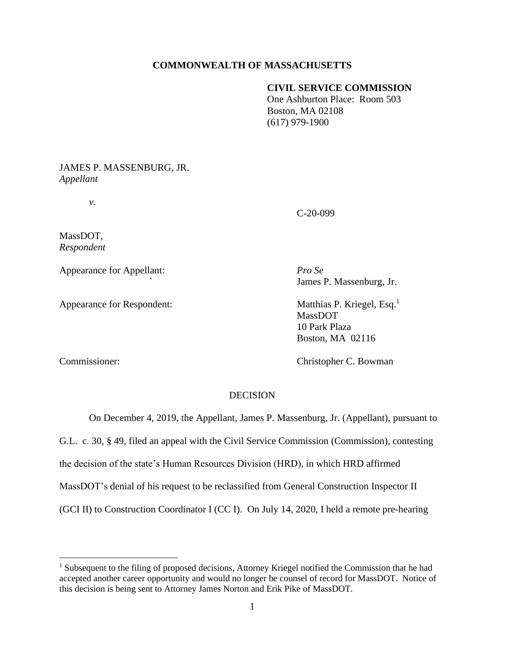## **COMMONWEALTH OF MASSACHUSETTS**

## **CIVIL SERVICE COMMISSION**

 One Ashburton Place: Room 503 Boston, MA 02108 (617) 979-1900

JAMES P. MASSENBURG, JR. *Appellant*

*v.*

C-20-099

MassDOT, *Respondent*

Appearance for Appellant: *Pro Se*

Appearance for Respondent: Matthias P. Kriegel, Esq.<sup>1</sup>

*`* James P. Massenburg, Jr.

MassDOT 10 Park Plaza Boston, MA 02116

Commissioner: Christopher C. Bowman

## DECISION

On December 4, 2019, the Appellant, James P. Massenburg, Jr. (Appellant), pursuant to

G.L. c. 30, § 49, filed an appeal with the Civil Service Commission (Commission), contesting

the decision of the state's Human Resources Division (HRD), in which HRD affirmed

MassDOT's denial of his request to be reclassified from General Construction Inspector II

(GCI II) to Construction Coordinator I (CC I). On July 14, 2020, I held a remote pre-hearing

<sup>&</sup>lt;sup>1</sup> Subsequent to the filing of proposed decisions, Attorney Kriegel notified the Commission that he had accepted another career opportunity and would no longer be counsel of record for MassDOT. Notice of this decision is being sent to Attorney James Norton and Erik Pike of MassDOT.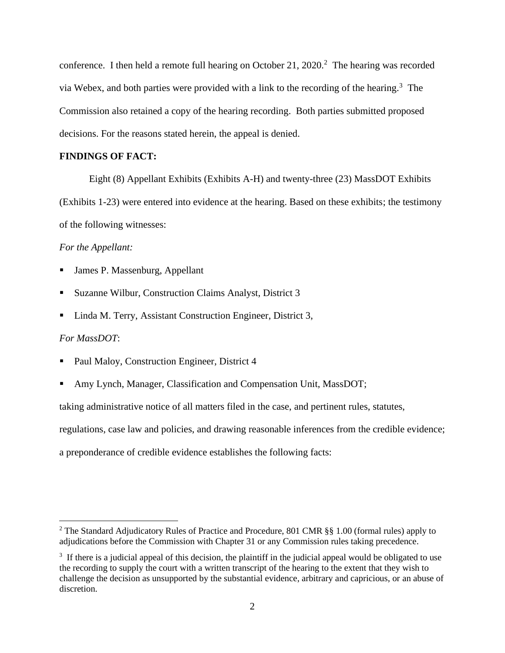conference. I then held a remote full hearing on October 21, 2020.<sup>2</sup> The hearing was recorded via Webex, and both parties were provided with a link to the recording of the hearing.<sup>3</sup> The Commission also retained a copy of the hearing recording. Both parties submitted proposed decisions. For the reasons stated herein, the appeal is denied.

# **FINDINGS OF FACT:**

Eight (8) Appellant Exhibits (Exhibits A-H) and twenty-three (23) MassDOT Exhibits

(Exhibits 1-23) were entered into evidence at the hearing. Based on these exhibits; the testimony of the following witnesses:

### *For the Appellant:*

- James P. Massenburg, Appellant
- Suzanne Wilbur, Construction Claims Analyst, District 3
- Linda M. Terry, Assistant Construction Engineer, District 3,

## *For MassDOT*:

- Paul Maloy, Construction Engineer, District 4
- Amy Lynch, Manager, Classification and Compensation Unit, MassDOT;

taking administrative notice of all matters filed in the case, and pertinent rules, statutes,

regulations, case law and policies, and drawing reasonable inferences from the credible evidence;

a preponderance of credible evidence establishes the following facts:

<sup>&</sup>lt;sup>2</sup> The Standard Adjudicatory Rules of Practice and Procedure, 801 CMR §§ 1.00 (formal rules) apply to adjudications before the Commission with Chapter 31 or any Commission rules taking precedence.

<sup>&</sup>lt;sup>3</sup> If there is a judicial appeal of this decision, the plaintiff in the judicial appeal would be obligated to use the recording to supply the court with a written transcript of the hearing to the extent that they wish to challenge the decision as unsupported by the substantial evidence, arbitrary and capricious, or an abuse of discretion.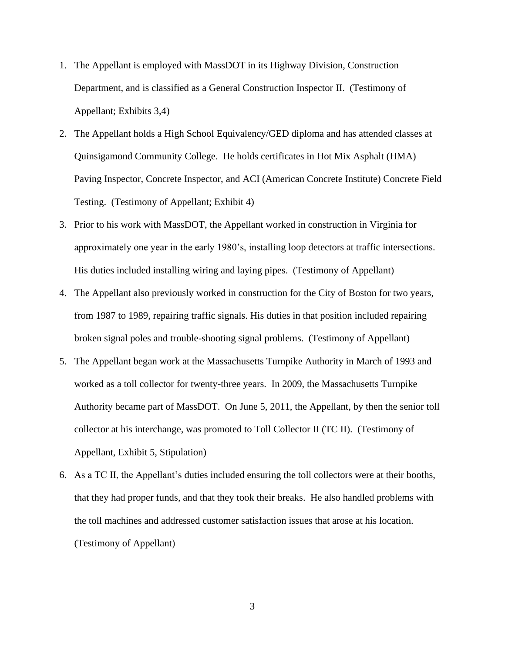- 1. The Appellant is employed with MassDOT in its Highway Division, Construction Department, and is classified as a General Construction Inspector II. (Testimony of Appellant; Exhibits 3,4)
- 2. The Appellant holds a High School Equivalency/GED diploma and has attended classes at Quinsigamond Community College. He holds certificates in Hot Mix Asphalt (HMA) Paving Inspector, Concrete Inspector, and ACI (American Concrete Institute) Concrete Field Testing. (Testimony of Appellant; Exhibit 4)
- 3. Prior to his work with MassDOT, the Appellant worked in construction in Virginia for approximately one year in the early 1980's, installing loop detectors at traffic intersections. His duties included installing wiring and laying pipes. (Testimony of Appellant)
- 4. The Appellant also previously worked in construction for the City of Boston for two years, from 1987 to 1989, repairing traffic signals. His duties in that position included repairing broken signal poles and trouble-shooting signal problems. (Testimony of Appellant)
- 5. The Appellant began work at the Massachusetts Turnpike Authority in March of 1993 and worked as a toll collector for twenty-three years. In 2009, the Massachusetts Turnpike Authority became part of MassDOT. On June 5, 2011, the Appellant, by then the senior toll collector at his interchange, was promoted to Toll Collector II (TC II). (Testimony of Appellant, Exhibit 5, Stipulation)
- 6. As a TC II, the Appellant's duties included ensuring the toll collectors were at their booths, that they had proper funds, and that they took their breaks. He also handled problems with the toll machines and addressed customer satisfaction issues that arose at his location. (Testimony of Appellant)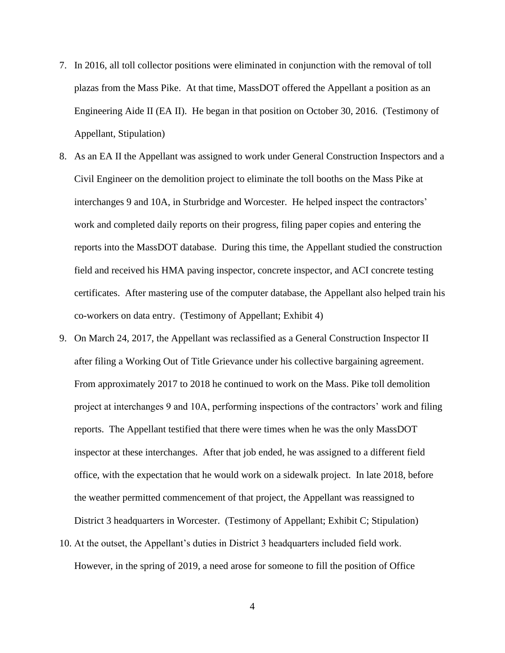- 7. In 2016, all toll collector positions were eliminated in conjunction with the removal of toll plazas from the Mass Pike. At that time, MassDOT offered the Appellant a position as an Engineering Aide II (EA II). He began in that position on October 30, 2016. (Testimony of Appellant, Stipulation)
- 8. As an EA II the Appellant was assigned to work under General Construction Inspectors and a Civil Engineer on the demolition project to eliminate the toll booths on the Mass Pike at interchanges 9 and 10A, in Sturbridge and Worcester. He helped inspect the contractors' work and completed daily reports on their progress, filing paper copies and entering the reports into the MassDOT database. During this time, the Appellant studied the construction field and received his HMA paving inspector, concrete inspector, and ACI concrete testing certificates. After mastering use of the computer database, the Appellant also helped train his co-workers on data entry. (Testimony of Appellant; Exhibit 4)
- 9. On March 24, 2017, the Appellant was reclassified as a General Construction Inspector II after filing a Working Out of Title Grievance under his collective bargaining agreement. From approximately 2017 to 2018 he continued to work on the Mass. Pike toll demolition project at interchanges 9 and 10A, performing inspections of the contractors' work and filing reports. The Appellant testified that there were times when he was the only MassDOT inspector at these interchanges. After that job ended, he was assigned to a different field office, with the expectation that he would work on a sidewalk project. In late 2018, before the weather permitted commencement of that project, the Appellant was reassigned to District 3 headquarters in Worcester. (Testimony of Appellant; Exhibit C; Stipulation)
- 10. At the outset, the Appellant's duties in District 3 headquarters included field work. However, in the spring of 2019, a need arose for someone to fill the position of Office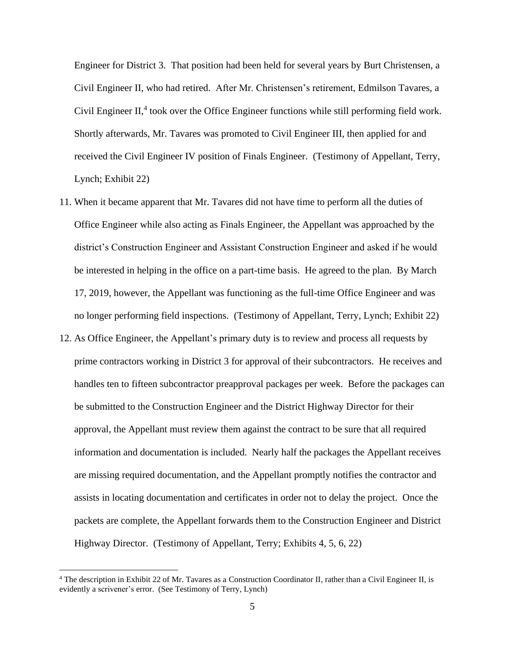Engineer for District 3. That position had been held for several years by Burt Christensen, a Civil Engineer II, who had retired. After Mr. Christensen's retirement, Edmilson Tavares, a Civil Engineer II, 4 took over the Office Engineer functions while still performing field work. Shortly afterwards, Mr. Tavares was promoted to Civil Engineer III, then applied for and received the Civil Engineer IV position of Finals Engineer. (Testimony of Appellant, Terry, Lynch; Exhibit 22)

- 11. When it became apparent that Mr. Tavares did not have time to perform all the duties of Office Engineer while also acting as Finals Engineer, the Appellant was approached by the district's Construction Engineer and Assistant Construction Engineer and asked if he would be interested in helping in the office on a part-time basis. He agreed to the plan. By March 17, 2019, however, the Appellant was functioning as the full-time Office Engineer and was no longer performing field inspections. (Testimony of Appellant, Terry, Lynch; Exhibit 22)
- 12. As Office Engineer, the Appellant's primary duty is to review and process all requests by prime contractors working in District 3 for approval of their subcontractors. He receives and handles ten to fifteen subcontractor preapproval packages per week. Before the packages can be submitted to the Construction Engineer and the District Highway Director for their approval, the Appellant must review them against the contract to be sure that all required information and documentation is included. Nearly half the packages the Appellant receives are missing required documentation, and the Appellant promptly notifies the contractor and assists in locating documentation and certificates in order not to delay the project. Once the packets are complete, the Appellant forwards them to the Construction Engineer and District Highway Director. (Testimony of Appellant, Terry; Exhibits 4, 5, 6, 22)

<sup>4</sup> The description in Exhibit 22 of Mr. Tavares as a Construction Coordinator II, rather than a Civil Engineer II, is evidently a scrivener's error. (See Testimony of Terry, Lynch)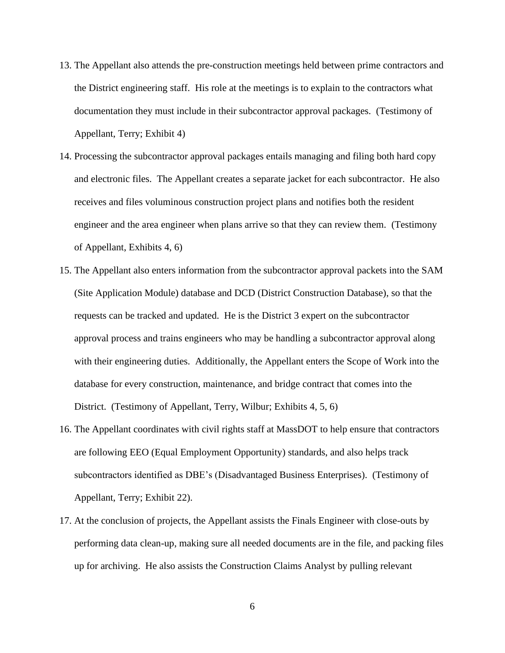- 13. The Appellant also attends the pre-construction meetings held between prime contractors and the District engineering staff. His role at the meetings is to explain to the contractors what documentation they must include in their subcontractor approval packages. (Testimony of Appellant, Terry; Exhibit 4)
- 14. Processing the subcontractor approval packages entails managing and filing both hard copy and electronic files. The Appellant creates a separate jacket for each subcontractor. He also receives and files voluminous construction project plans and notifies both the resident engineer and the area engineer when plans arrive so that they can review them. (Testimony of Appellant, Exhibits 4, 6)
- 15. The Appellant also enters information from the subcontractor approval packets into the SAM (Site Application Module) database and DCD (District Construction Database), so that the requests can be tracked and updated. He is the District 3 expert on the subcontractor approval process and trains engineers who may be handling a subcontractor approval along with their engineering duties. Additionally, the Appellant enters the Scope of Work into the database for every construction, maintenance, and bridge contract that comes into the District. (Testimony of Appellant, Terry, Wilbur; Exhibits 4, 5, 6)
- 16. The Appellant coordinates with civil rights staff at MassDOT to help ensure that contractors are following EEO (Equal Employment Opportunity) standards, and also helps track subcontractors identified as DBE's (Disadvantaged Business Enterprises). (Testimony of Appellant, Terry; Exhibit 22).
- 17. At the conclusion of projects, the Appellant assists the Finals Engineer with close-outs by performing data clean-up, making sure all needed documents are in the file, and packing files up for archiving. He also assists the Construction Claims Analyst by pulling relevant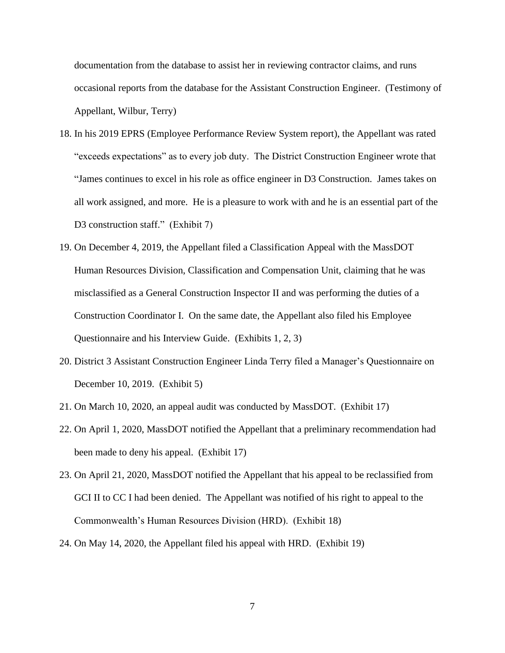documentation from the database to assist her in reviewing contractor claims, and runs occasional reports from the database for the Assistant Construction Engineer. (Testimony of Appellant, Wilbur, Terry)

- 18. In his 2019 EPRS (Employee Performance Review System report), the Appellant was rated "exceeds expectations" as to every job duty. The District Construction Engineer wrote that "James continues to excel in his role as office engineer in D3 Construction. James takes on all work assigned, and more. He is a pleasure to work with and he is an essential part of the D3 construction staff." (Exhibit 7)
- 19. On December 4, 2019, the Appellant filed a Classification Appeal with the MassDOT Human Resources Division, Classification and Compensation Unit, claiming that he was misclassified as a General Construction Inspector II and was performing the duties of a Construction Coordinator I. On the same date, the Appellant also filed his Employee Questionnaire and his Interview Guide. (Exhibits 1, 2, 3)
- 20. District 3 Assistant Construction Engineer Linda Terry filed a Manager's Questionnaire on December 10, 2019. (Exhibit 5)
- 21. On March 10, 2020, an appeal audit was conducted by MassDOT. (Exhibit 17)
- 22. On April 1, 2020, MassDOT notified the Appellant that a preliminary recommendation had been made to deny his appeal. (Exhibit 17)
- 23. On April 21, 2020, MassDOT notified the Appellant that his appeal to be reclassified from GCI II to CC I had been denied. The Appellant was notified of his right to appeal to the Commonwealth's Human Resources Division (HRD). (Exhibit 18)
- 24. On May 14, 2020, the Appellant filed his appeal with HRD. (Exhibit 19)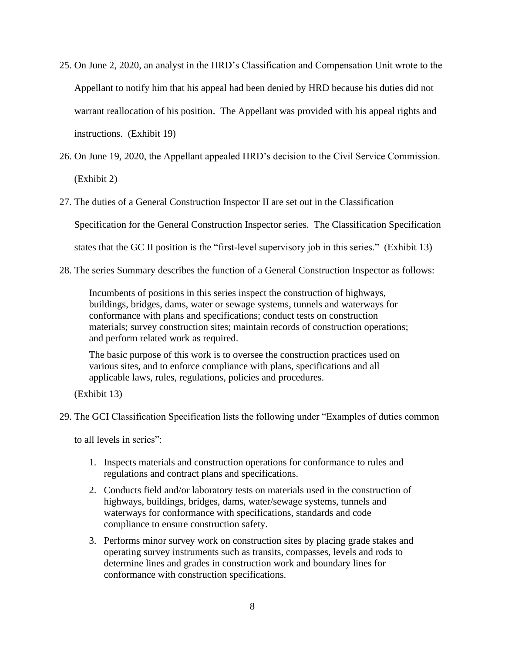- 25. On June 2, 2020, an analyst in the HRD's Classification and Compensation Unit wrote to the Appellant to notify him that his appeal had been denied by HRD because his duties did not warrant reallocation of his position. The Appellant was provided with his appeal rights and instructions. (Exhibit 19)
- 26. On June 19, 2020, the Appellant appealed HRD's decision to the Civil Service Commission. (Exhibit 2)

27. The duties of a General Construction Inspector II are set out in the Classification

Specification for the General Construction Inspector series. The Classification Specification

states that the GC II position is the "first-level supervisory job in this series." (Exhibit 13)

28. The series Summary describes the function of a General Construction Inspector as follows:

Incumbents of positions in this series inspect the construction of highways, buildings, bridges, dams, water or sewage systems, tunnels and waterways for conformance with plans and specifications; conduct tests on construction materials; survey construction sites; maintain records of construction operations; and perform related work as required.

The basic purpose of this work is to oversee the construction practices used on various sites, and to enforce compliance with plans, specifications and all applicable laws, rules, regulations, policies and procedures.

(Exhibit 13)

29. The GCI Classification Specification lists the following under "Examples of duties common

to all levels in series":

- 1. Inspects materials and construction operations for conformance to rules and regulations and contract plans and specifications.
- 2. Conducts field and/or laboratory tests on materials used in the construction of highways, buildings, bridges, dams, water/sewage systems, tunnels and waterways for conformance with specifications, standards and code compliance to ensure construction safety.
- 3. Performs minor survey work on construction sites by placing grade stakes and operating survey instruments such as transits, compasses, levels and rods to determine lines and grades in construction work and boundary lines for conformance with construction specifications.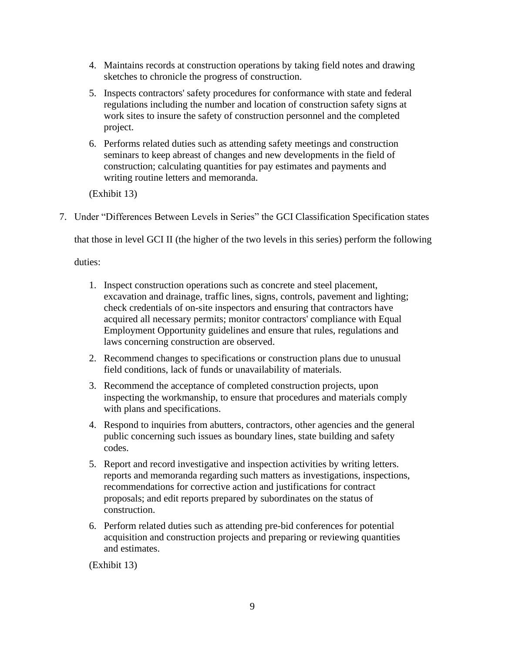- 4. Maintains records at construction operations by taking field notes and drawing sketches to chronicle the progress of construction.
- 5. Inspects contractors' safety procedures for conformance with state and federal regulations including the number and location of construction safety signs at work sites to insure the safety of construction personnel and the completed project.
- 6. Performs related duties such as attending safety meetings and construction seminars to keep abreast of changes and new developments in the field of construction; calculating quantities for pay estimates and payments and writing routine letters and memoranda.

(Exhibit 13)

7. Under "Differences Between Levels in Series" the GCI Classification Specification states

that those in level GCI II (the higher of the two levels in this series) perform the following

duties:

- 1. Inspect construction operations such as concrete and steel placement, excavation and drainage, traffic lines, signs, controls, pavement and lighting; check credentials of on-site inspectors and ensuring that contractors have acquired all necessary permits; monitor contractors' compliance with Equal Employment Opportunity guidelines and ensure that rules, regulations and laws concerning construction are observed.
- 2. Recommend changes to specifications or construction plans due to unusual field conditions, lack of funds or unavailability of materials.
- 3. Recommend the acceptance of completed construction projects, upon inspecting the workmanship, to ensure that procedures and materials comply with plans and specifications.
- 4. Respond to inquiries from abutters, contractors, other agencies and the general public concerning such issues as boundary lines, state building and safety codes.
- 5. Report and record investigative and inspection activities by writing letters. reports and memoranda regarding such matters as investigations, inspections, recommendations for corrective action and justifications for contract proposals; and edit reports prepared by subordinates on the status of construction.
- 6. Perform related duties such as attending pre-bid conferences for potential acquisition and construction projects and preparing or reviewing quantities and estimates.

(Exhibit 13)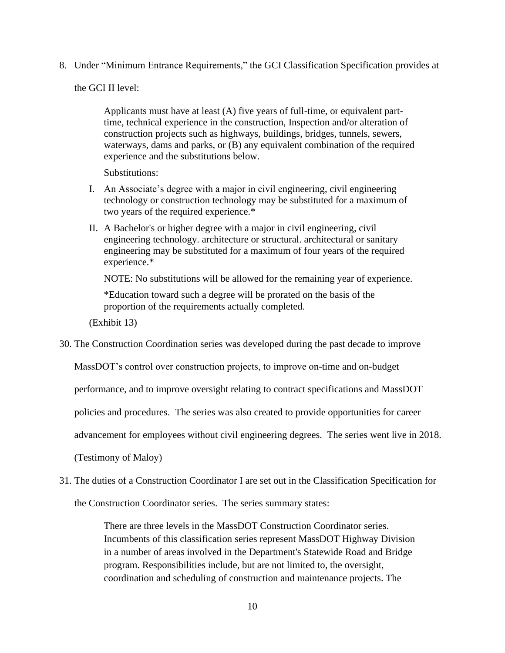8. Under "Minimum Entrance Requirements," the GCI Classification Specification provides at

the GCI II level:

Applicants must have at least (A) five years of full-time, or equivalent parttime, technical experience in the construction, Inspection and/or alteration of construction projects such as highways, buildings, bridges, tunnels, sewers, waterways, dams and parks, or (B) any equivalent combination of the required experience and the substitutions below.

Substitutions:

- I. An Associate's degree with a major in civil engineering, civil engineering technology or construction technology may be substituted for a maximum of two years of the required experience.\*
- II. A Bachelor's or higher degree with a major in civil engineering, civil engineering technology. architecture or structural. architectural or sanitary engineering may be substituted for a maximum of four years of the required experience.\*

NOTE: No substitutions will be allowed for the remaining year of experience.

\*Education toward such a degree will be prorated on the basis of the proportion of the requirements actually completed.

(Exhibit 13)

30. The Construction Coordination series was developed during the past decade to improve

MassDOT's control over construction projects, to improve on-time and on-budget

performance, and to improve oversight relating to contract specifications and MassDOT

policies and procedures. The series was also created to provide opportunities for career

advancement for employees without civil engineering degrees. The series went live in 2018.

(Testimony of Maloy)

31. The duties of a Construction Coordinator I are set out in the Classification Specification for

the Construction Coordinator series. The series summary states:

There are three levels in the MassDOT Construction Coordinator series. Incumbents of this classification series represent MassDOT Highway Division in a number of areas involved in the Department's Statewide Road and Bridge program. Responsibilities include, but are not limited to, the oversight, coordination and scheduling of construction and maintenance projects. The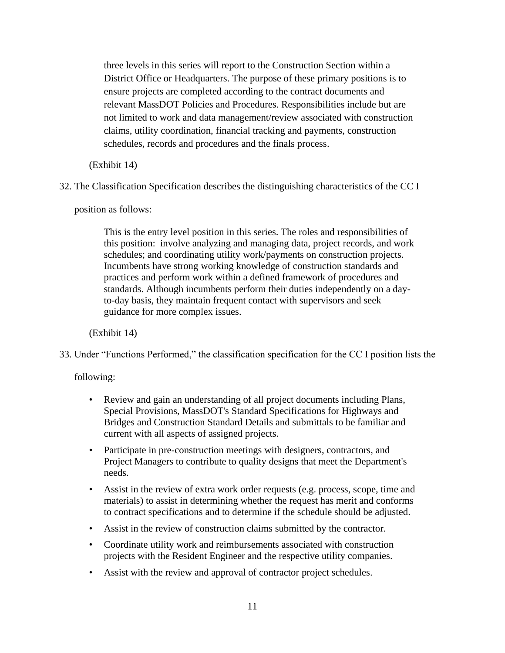three levels in this series will report to the Construction Section within a District Office or Headquarters. The purpose of these primary positions is to ensure projects are completed according to the contract documents and relevant MassDOT Policies and Procedures. Responsibilities include but are not limited to work and data management/review associated with construction claims, utility coordination, financial tracking and payments, construction schedules, records and procedures and the finals process.

(Exhibit 14)

32. The Classification Specification describes the distinguishing characteristics of the CC I

position as follows:

This is the entry level position in this series. The roles and responsibilities of this position: involve analyzing and managing data, project records, and work schedules; and coordinating utility work/payments on construction projects. Incumbents have strong working knowledge of construction standards and practices and perform work within a defined framework of procedures and standards. Although incumbents perform their duties independently on a dayto-day basis, they maintain frequent contact with supervisors and seek guidance for more complex issues.

(Exhibit 14)

33. Under "Functions Performed," the classification specification for the CC I position lists the

following:

- Review and gain an understanding of all project documents including Plans, Special Provisions, MassDOT's Standard Specifications for Highways and Bridges and Construction Standard Details and submittals to be familiar and current with all aspects of assigned projects.
- Participate in pre-construction meetings with designers, contractors, and Project Managers to contribute to quality designs that meet the Department's needs.
- Assist in the review of extra work order requests (e.g. process, scope, time and materials) to assist in determining whether the request has merit and conforms to contract specifications and to determine if the schedule should be adjusted.
- Assist in the review of construction claims submitted by the contractor.
- Coordinate utility work and reimbursements associated with construction projects with the Resident Engineer and the respective utility companies.
- Assist with the review and approval of contractor project schedules.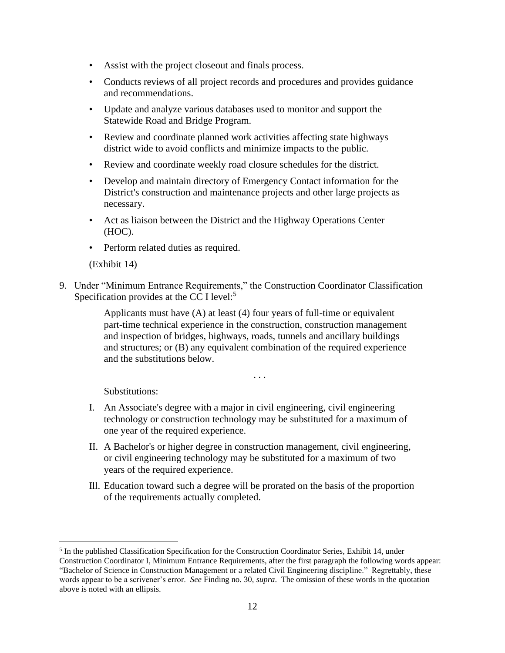- Assist with the project closeout and finals process.
- Conducts reviews of all project records and procedures and provides guidance and recommendations.
- Update and analyze various databases used to monitor and support the Statewide Road and Bridge Program.
- Review and coordinate planned work activities affecting state highways district wide to avoid conflicts and minimize impacts to the public.
- Review and coordinate weekly road closure schedules for the district.
- Develop and maintain directory of Emergency Contact information for the District's construction and maintenance projects and other large projects as necessary.
- Act as liaison between the District and the Highway Operations Center (HOC).
- Perform related duties as required.

# (Exhibit 14)

9. Under "Minimum Entrance Requirements," the Construction Coordinator Classification Specification provides at the CC I level:<sup>5</sup>

> Applicants must have (A) at least (4) four years of full-time or equivalent part-time technical experience in the construction, construction management and inspection of bridges, highways, roads, tunnels and ancillary buildings and structures; or (B) any equivalent combination of the required experience and the substitutions below.

> > . . .

Substitutions:

- I. An Associate's degree with a major in civil engineering, civil engineering technology or construction technology may be substituted for a maximum of one year of the required experience.
- II. A Bachelor's or higher degree in construction management, civil engineering, or civil engineering technology may be substituted for a maximum of two years of the required experience.
- Ill. Education toward such a degree will be prorated on the basis of the proportion of the requirements actually completed.

<sup>&</sup>lt;sup>5</sup> In the published Classification Specification for the Construction Coordinator Series, Exhibit 14, under Construction Coordinator I, Minimum Entrance Requirements, after the first paragraph the following words appear: "Bachelor of Science in Construction Management or a related Civil Engineering discipline." Regrettably, these words appear to be a scrivener's error. *See* Finding no. 30, *supra*. The omission of these words in the quotation above is noted with an ellipsis.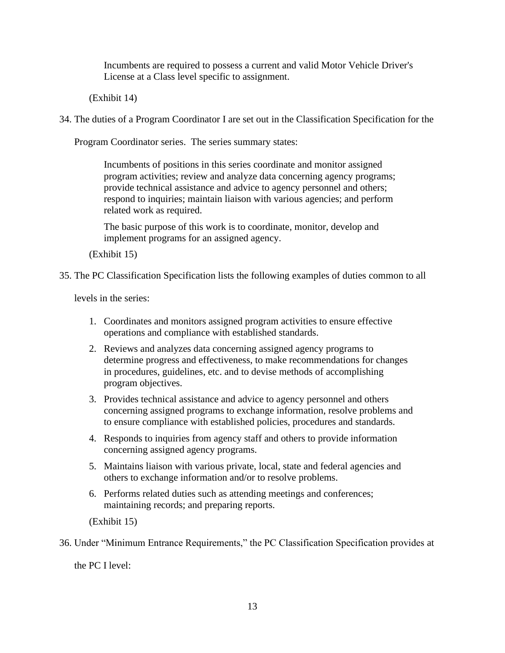Incumbents are required to possess a current and valid Motor Vehicle Driver's License at a Class level specific to assignment.

(Exhibit 14)

34. The duties of a Program Coordinator I are set out in the Classification Specification for the

Program Coordinator series. The series summary states:

Incumbents of positions in this series coordinate and monitor assigned program activities; review and analyze data concerning agency programs; provide technical assistance and advice to agency personnel and others; respond to inquiries; maintain liaison with various agencies; and perform related work as required.

The basic purpose of this work is to coordinate, monitor, develop and implement programs for an assigned agency.

(Exhibit 15)

35. The PC Classification Specification lists the following examples of duties common to all

levels in the series:

- 1. Coordinates and monitors assigned program activities to ensure effective operations and compliance with established standards.
- 2. Reviews and analyzes data concerning assigned agency programs to determine progress and effectiveness, to make recommendations for changes in procedures, guidelines, etc. and to devise methods of accomplishing program objectives.
- 3. Provides technical assistance and advice to agency personnel and others concerning assigned programs to exchange information, resolve problems and to ensure compliance with established policies, procedures and standards.
- 4. Responds to inquiries from agency staff and others to provide information concerning assigned agency programs.
- 5. Maintains liaison with various private, local, state and federal agencies and others to exchange information and/or to resolve problems.
- 6. Performs related duties such as attending meetings and conferences; maintaining records; and preparing reports.

(Exhibit 15)

36. Under "Minimum Entrance Requirements," the PC Classification Specification provides at

the PC I level: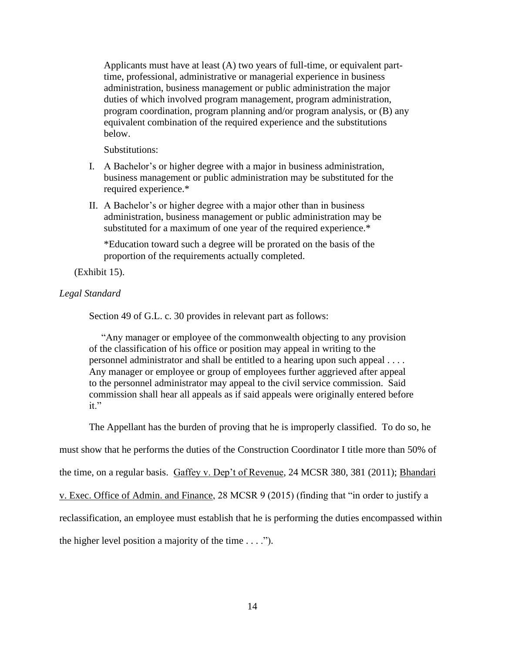Applicants must have at least (A) two years of full-time, or equivalent parttime, professional, administrative or managerial experience in business administration, business management or public administration the major duties of which involved program management, program administration, program coordination, program planning and/or program analysis, or (B) any equivalent combination of the required experience and the substitutions below.

Substitutions:

- I. A Bachelor's or higher degree with a major in business administration, business management or public administration may be substituted for the required experience.\*
- II. A Bachelor's or higher degree with a major other than in business administration, business management or public administration may be substituted for a maximum of one year of the required experience.\*

\*Education toward such a degree will be prorated on the basis of the proportion of the requirements actually completed.

(Exhibit 15).

## *Legal Standard*

Section 49 of G.L. c. 30 provides in relevant part as follows:

 "Any manager or employee of the commonwealth objecting to any provision of the classification of his office or position may appeal in writing to the personnel administrator and shall be entitled to a hearing upon such appeal . . . . Any manager or employee or group of employees further aggrieved after appeal to the personnel administrator may appeal to the civil service commission. Said commission shall hear all appeals as if said appeals were originally entered before  $it.$ "

The Appellant has the burden of proving that he is improperly classified. To do so, he

must show that he performs the duties of the Construction Coordinator I title more than 50% of

the time, on a regular basis. Gaffey v. Dep't of Revenue, 24 MCSR 380, 381 (2011); Bhandari

v. Exec. Office of Admin. and Finance, 28 MCSR 9 (2015) (finding that "in order to justify a

reclassification, an employee must establish that he is performing the duties encompassed within

the higher level position a majority of the time  $\dots$ .").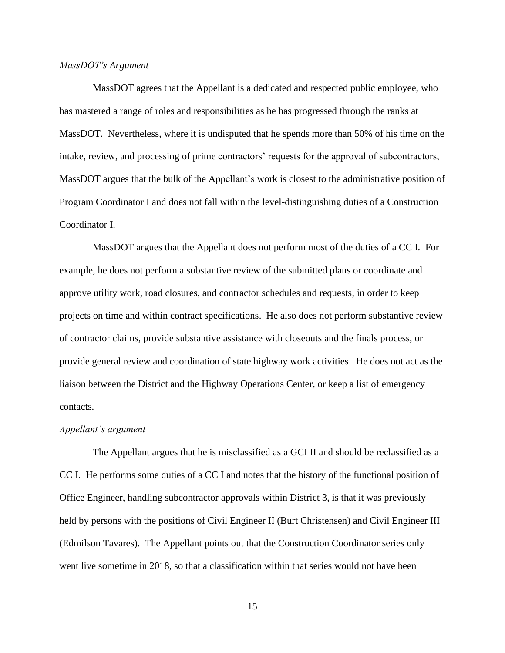#### *MassDOT's Argument*

MassDOT agrees that the Appellant is a dedicated and respected public employee, who has mastered a range of roles and responsibilities as he has progressed through the ranks at MassDOT. Nevertheless, where it is undisputed that he spends more than 50% of his time on the intake, review, and processing of prime contractors' requests for the approval of subcontractors, MassDOT argues that the bulk of the Appellant's work is closest to the administrative position of Program Coordinator I and does not fall within the level-distinguishing duties of a Construction Coordinator I.

MassDOT argues that the Appellant does not perform most of the duties of a CC I. For example, he does not perform a substantive review of the submitted plans or coordinate and approve utility work, road closures, and contractor schedules and requests, in order to keep projects on time and within contract specifications. He also does not perform substantive review of contractor claims, provide substantive assistance with closeouts and the finals process, or provide general review and coordination of state highway work activities. He does not act as the liaison between the District and the Highway Operations Center, or keep a list of emergency contacts.

#### *Appellant's argument*

The Appellant argues that he is misclassified as a GCI II and should be reclassified as a CC I. He performs some duties of a CC I and notes that the history of the functional position of Office Engineer, handling subcontractor approvals within District 3, is that it was previously held by persons with the positions of Civil Engineer II (Burt Christensen) and Civil Engineer III (Edmilson Tavares). The Appellant points out that the Construction Coordinator series only went live sometime in 2018, so that a classification within that series would not have been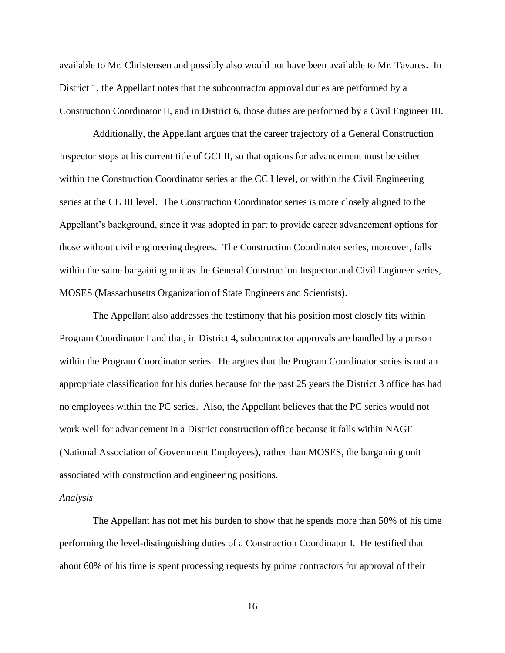available to Mr. Christensen and possibly also would not have been available to Mr. Tavares. In District 1, the Appellant notes that the subcontractor approval duties are performed by a Construction Coordinator II, and in District 6, those duties are performed by a Civil Engineer III.

Additionally, the Appellant argues that the career trajectory of a General Construction Inspector stops at his current title of GCI II, so that options for advancement must be either within the Construction Coordinator series at the CC I level, or within the Civil Engineering series at the CE III level. The Construction Coordinator series is more closely aligned to the Appellant's background, since it was adopted in part to provide career advancement options for those without civil engineering degrees. The Construction Coordinator series, moreover, falls within the same bargaining unit as the General Construction Inspector and Civil Engineer series, MOSES (Massachusetts Organization of State Engineers and Scientists).

The Appellant also addresses the testimony that his position most closely fits within Program Coordinator I and that, in District 4, subcontractor approvals are handled by a person within the Program Coordinator series. He argues that the Program Coordinator series is not an appropriate classification for his duties because for the past 25 years the District 3 office has had no employees within the PC series. Also, the Appellant believes that the PC series would not work well for advancement in a District construction office because it falls within NAGE (National Association of Government Employees), rather than MOSES, the bargaining unit associated with construction and engineering positions.

#### *Analysis*

The Appellant has not met his burden to show that he spends more than 50% of his time performing the level-distinguishing duties of a Construction Coordinator I. He testified that about 60% of his time is spent processing requests by prime contractors for approval of their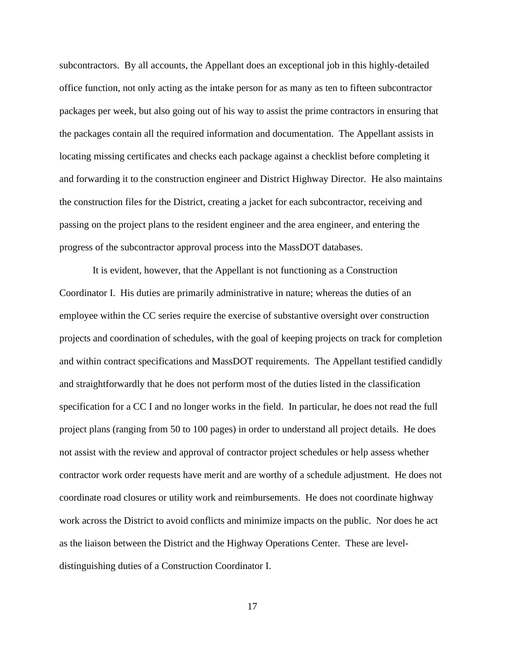subcontractors. By all accounts, the Appellant does an exceptional job in this highly-detailed office function, not only acting as the intake person for as many as ten to fifteen subcontractor packages per week, but also going out of his way to assist the prime contractors in ensuring that the packages contain all the required information and documentation. The Appellant assists in locating missing certificates and checks each package against a checklist before completing it and forwarding it to the construction engineer and District Highway Director. He also maintains the construction files for the District, creating a jacket for each subcontractor, receiving and passing on the project plans to the resident engineer and the area engineer, and entering the progress of the subcontractor approval process into the MassDOT databases.

It is evident, however, that the Appellant is not functioning as a Construction Coordinator I. His duties are primarily administrative in nature; whereas the duties of an employee within the CC series require the exercise of substantive oversight over construction projects and coordination of schedules, with the goal of keeping projects on track for completion and within contract specifications and MassDOT requirements. The Appellant testified candidly and straightforwardly that he does not perform most of the duties listed in the classification specification for a CC I and no longer works in the field. In particular, he does not read the full project plans (ranging from 50 to 100 pages) in order to understand all project details. He does not assist with the review and approval of contractor project schedules or help assess whether contractor work order requests have merit and are worthy of a schedule adjustment. He does not coordinate road closures or utility work and reimbursements. He does not coordinate highway work across the District to avoid conflicts and minimize impacts on the public. Nor does he act as the liaison between the District and the Highway Operations Center. These are leveldistinguishing duties of a Construction Coordinator I.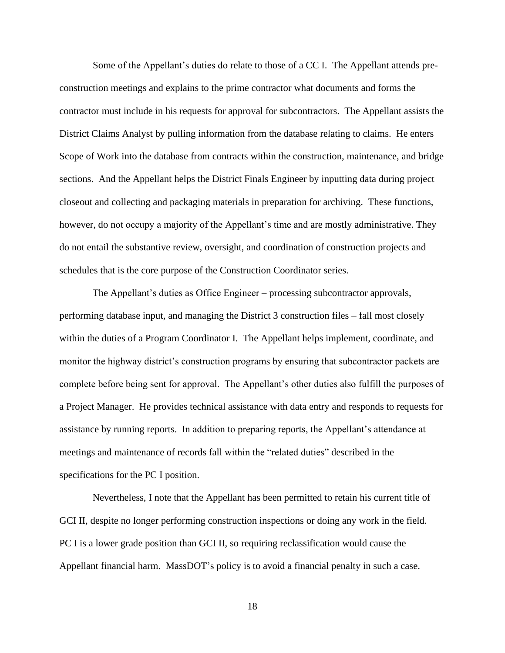Some of the Appellant's duties do relate to those of a CC I. The Appellant attends preconstruction meetings and explains to the prime contractor what documents and forms the contractor must include in his requests for approval for subcontractors. The Appellant assists the District Claims Analyst by pulling information from the database relating to claims. He enters Scope of Work into the database from contracts within the construction, maintenance, and bridge sections. And the Appellant helps the District Finals Engineer by inputting data during project closeout and collecting and packaging materials in preparation for archiving. These functions, however, do not occupy a majority of the Appellant's time and are mostly administrative. They do not entail the substantive review, oversight, and coordination of construction projects and schedules that is the core purpose of the Construction Coordinator series.

The Appellant's duties as Office Engineer – processing subcontractor approvals, performing database input, and managing the District 3 construction files – fall most closely within the duties of a Program Coordinator I. The Appellant helps implement, coordinate, and monitor the highway district's construction programs by ensuring that subcontractor packets are complete before being sent for approval. The Appellant's other duties also fulfill the purposes of a Project Manager. He provides technical assistance with data entry and responds to requests for assistance by running reports. In addition to preparing reports, the Appellant's attendance at meetings and maintenance of records fall within the "related duties" described in the specifications for the PC I position.

Nevertheless, I note that the Appellant has been permitted to retain his current title of GCI II, despite no longer performing construction inspections or doing any work in the field. PC I is a lower grade position than GCI II, so requiring reclassification would cause the Appellant financial harm. MassDOT's policy is to avoid a financial penalty in such a case.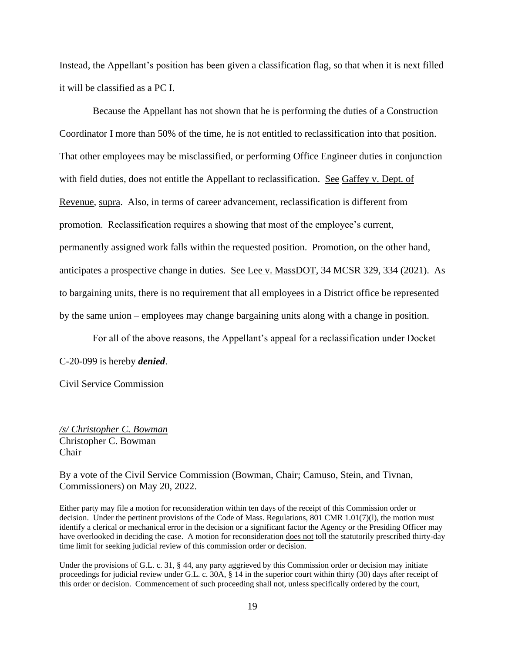Instead, the Appellant's position has been given a classification flag, so that when it is next filled it will be classified as a PC I.

Because the Appellant has not shown that he is performing the duties of a Construction Coordinator I more than 50% of the time, he is not entitled to reclassification into that position. That other employees may be misclassified, or performing Office Engineer duties in conjunction with field duties, does not entitle the Appellant to reclassification. See Gaffey v. Dept. of Revenue, supra. Also, in terms of career advancement, reclassification is different from promotion. Reclassification requires a showing that most of the employee's current, permanently assigned work falls within the requested position. Promotion, on the other hand, anticipates a prospective change in duties. See Lee v. MassDOT, 34 MCSR 329, 334 (2021). As to bargaining units, there is no requirement that all employees in a District office be represented by the same union – employees may change bargaining units along with a change in position.

For all of the above reasons, the Appellant's appeal for a reclassification under Docket C-20-099 is hereby *denied*.

Civil Service Commission

*/s/ Christopher C. Bowman*  Christopher C. Bowman Chair

By a vote of the Civil Service Commission (Bowman, Chair; Camuso, Stein, and Tivnan, Commissioners) on May 20, 2022.

Either party may file a motion for reconsideration within ten days of the receipt of this Commission order or decision. Under the pertinent provisions of the Code of Mass. Regulations, 801 CMR 1.01(7)(l), the motion must identify a clerical or mechanical error in the decision or a significant factor the Agency or the Presiding Officer may have overlooked in deciding the case. A motion for reconsideration does not toll the statutorily prescribed thirty-day time limit for seeking judicial review of this commission order or decision.

Under the provisions of G.L. c. 31, § 44, any party aggrieved by this Commission order or decision may initiate proceedings for judicial review under G.L. c. 30A, § 14 in the superior court within thirty (30) days after receipt of this order or decision. Commencement of such proceeding shall not, unless specifically ordered by the court,